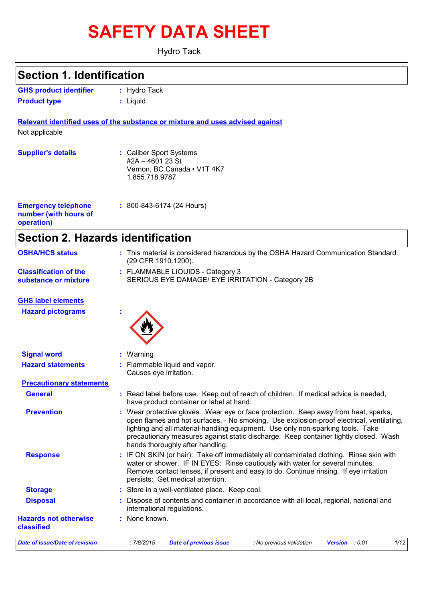# **SAFETY DATA SHEET**

Hydro Tack

| <b>Section 1. Identification</b>                                  |                                                                                                                                                                                                                                                                                                                                                                                                |  |  |
|-------------------------------------------------------------------|------------------------------------------------------------------------------------------------------------------------------------------------------------------------------------------------------------------------------------------------------------------------------------------------------------------------------------------------------------------------------------------------|--|--|
| <b>GHS product identifier</b>                                     | : Hydro Tack                                                                                                                                                                                                                                                                                                                                                                                   |  |  |
| <b>Product type</b>                                               | : Liquid                                                                                                                                                                                                                                                                                                                                                                                       |  |  |
|                                                                   | Relevant identified uses of the substance or mixture and uses advised against                                                                                                                                                                                                                                                                                                                  |  |  |
| Not applicable                                                    |                                                                                                                                                                                                                                                                                                                                                                                                |  |  |
| <b>Supplier's details</b>                                         | : Caliber Sport Systems<br>#2A-4601 23 St<br>Vernon, BC Canada . V1T 4K7<br>1.855.718.9787                                                                                                                                                                                                                                                                                                     |  |  |
| <b>Emergency telephone</b><br>number (with hours of<br>operation) | : 800-843-6174 (24 Hours)                                                                                                                                                                                                                                                                                                                                                                      |  |  |
| <b>Section 2. Hazards identification</b>                          |                                                                                                                                                                                                                                                                                                                                                                                                |  |  |
| <b>OSHA/HCS status</b>                                            | : This material is considered hazardous by the OSHA Hazard Communication Standard<br>(29 CFR 1910.1200).                                                                                                                                                                                                                                                                                       |  |  |
| <b>Classification of the</b><br>substance or mixture              | : FLAMMABLE LIQUIDS - Category 3<br>SERIOUS EYE DAMAGE/ EYE IRRITATION - Category 2B                                                                                                                                                                                                                                                                                                           |  |  |
| <b>GHS label elements</b>                                         |                                                                                                                                                                                                                                                                                                                                                                                                |  |  |
| <b>Hazard pictograms</b>                                          |                                                                                                                                                                                                                                                                                                                                                                                                |  |  |
| <b>Signal word</b>                                                | Warning                                                                                                                                                                                                                                                                                                                                                                                        |  |  |
| <b>Hazard statements</b>                                          | Flammable liquid and vapor.<br>Causes eye irritation.                                                                                                                                                                                                                                                                                                                                          |  |  |
| <b>Precautionary statements</b>                                   |                                                                                                                                                                                                                                                                                                                                                                                                |  |  |
| <b>General</b>                                                    | : Read label before use. Keep out of reach of children. If medical advice is needed,<br>have product container or label at hand.                                                                                                                                                                                                                                                               |  |  |
| <b>Prevention</b>                                                 | : Wear protective gloves. Wear eye or face protection. Keep away from heat, sparks,<br>open flames and hot surfaces. - No smoking. Use explosion-proof electrical, ventilating,<br>lighting and all material-handling equipment. Use only non-sparking tools. Take<br>precautionary measures against static discharge. Keep container tightly closed. Wash<br>hands thoroughly after handling. |  |  |
| <b>Response</b>                                                   | : IF ON SKIN (or hair): Take off immediately all contaminated clothing. Rinse skin with<br>water or shower. IF IN EYES: Rinse cautiously with water for several minutes.<br>Remove contact lenses, if present and easy to do. Continue rinsing. If eye irritation<br>persists: Get medical attention.                                                                                          |  |  |
| <b>Storage</b>                                                    | : Store in a well-ventilated place. Keep cool.                                                                                                                                                                                                                                                                                                                                                 |  |  |
| <b>Disposal</b>                                                   | Dispose of contents and container in accordance with all local, regional, national and<br>international regulations.                                                                                                                                                                                                                                                                           |  |  |
| <b>Hazards not otherwise</b><br>classified                        | : None known.                                                                                                                                                                                                                                                                                                                                                                                  |  |  |
| <b>Date of issue/Date of revision</b>                             | :7/8/2015<br><b>Date of previous issue</b><br>: No previous validation<br>Version : 0.01<br>1/12                                                                                                                                                                                                                                                                                               |  |  |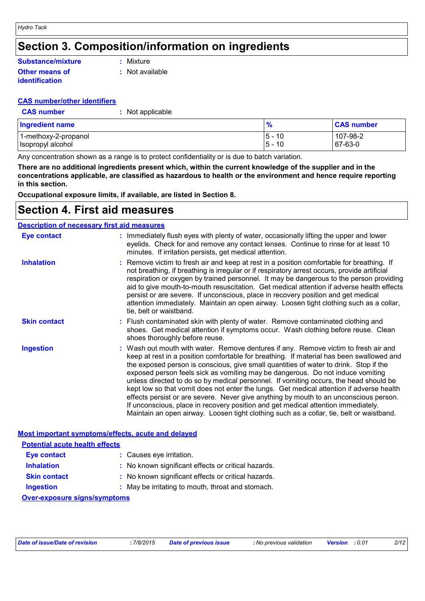### **Section 3. Composition/information on ingredients**

#### **Other means of Substance/mixture**

**:** Mixture

**:** Not available

#### **CAS number/other identifiers**

| <b>CAS number</b> |
|-------------------|
|-------------------|

**identification**

**Pr :** Not applicable

| <b>Ingredient name</b> | 70                   | <b>CAS number</b> |  |
|------------------------|----------------------|-------------------|--|
| 1-methoxy-2-propanol   | $5 -$<br>10<br>$5 -$ | 107-98-2          |  |
| Isopropyl alcohol      | 10                   | 67-63-0           |  |

Any concentration shown as a range is to protect confidentiality or is due to batch variation.

**There are no additional ingredients present which, within the current knowledge of the supplier and in the concentrations applicable, are classified as hazardous to health or the environment and hence require reporting in this section.**

**Occupational exposure limits, if available, are listed in Section 8.**

### **Section 4. First aid measures**

#### **Description of necessary first aid measures**

| <b>Eye contact</b>                                 |  | : Immediately flush eyes with plenty of water, occasionally lifting the upper and lower<br>eyelids. Check for and remove any contact lenses. Continue to rinse for at least 10<br>minutes. If irritation persists, get medical attention.                                                                                                                                                                                                                                                                                                                                                                                                                                                                                                                                                                                 |  |  |  |
|----------------------------------------------------|--|---------------------------------------------------------------------------------------------------------------------------------------------------------------------------------------------------------------------------------------------------------------------------------------------------------------------------------------------------------------------------------------------------------------------------------------------------------------------------------------------------------------------------------------------------------------------------------------------------------------------------------------------------------------------------------------------------------------------------------------------------------------------------------------------------------------------------|--|--|--|
| <b>Inhalation</b>                                  |  | : Remove victim to fresh air and keep at rest in a position comfortable for breathing. If<br>not breathing, if breathing is irregular or if respiratory arrest occurs, provide artificial<br>respiration or oxygen by trained personnel. It may be dangerous to the person providing<br>aid to give mouth-to-mouth resuscitation. Get medical attention if adverse health effects<br>persist or are severe. If unconscious, place in recovery position and get medical<br>attention immediately. Maintain an open airway. Loosen tight clothing such as a collar,<br>tie, belt or waistband.                                                                                                                                                                                                                              |  |  |  |
| <b>Skin contact</b>                                |  | : Flush contaminated skin with plenty of water. Remove contaminated clothing and<br>shoes. Get medical attention if symptoms occur. Wash clothing before reuse. Clean<br>shoes thoroughly before reuse.                                                                                                                                                                                                                                                                                                                                                                                                                                                                                                                                                                                                                   |  |  |  |
| <b>Ingestion</b>                                   |  | : Wash out mouth with water. Remove dentures if any. Remove victim to fresh air and<br>keep at rest in a position comfortable for breathing. If material has been swallowed and<br>the exposed person is conscious, give small quantities of water to drink. Stop if the<br>exposed person feels sick as vomiting may be dangerous. Do not induce vomiting<br>unless directed to do so by medical personnel. If vomiting occurs, the head should be<br>kept low so that vomit does not enter the lungs. Get medical attention if adverse health<br>effects persist or are severe. Never give anything by mouth to an unconscious person.<br>If unconscious, place in recovery position and get medical attention immediately.<br>Maintain an open airway. Loosen tight clothing such as a collar, tie, belt or waistband. |  |  |  |
| Most important symptoms/effects, acute and delayed |  |                                                                                                                                                                                                                                                                                                                                                                                                                                                                                                                                                                                                                                                                                                                                                                                                                           |  |  |  |

| <b>Potential acute health effects</b> |                                                     |  |  |  |
|---------------------------------------|-----------------------------------------------------|--|--|--|
| <b>Eye contact</b>                    | : Causes eye irritation.                            |  |  |  |
| <b>Inhalation</b>                     | : No known significant effects or critical hazards. |  |  |  |
| <b>Skin contact</b>                   | : No known significant effects or critical hazards. |  |  |  |
| <b>Ingestion</b>                      | : May be irritating to mouth, throat and stomach.   |  |  |  |
| <b>Over-exposure signs/symptoms</b>   |                                                     |  |  |  |

| Date of issue/Date of revision | 7/8/2015 | Date of previous issue | : No previous validation | <b>Version</b> : 0.01 | 2/12 |
|--------------------------------|----------|------------------------|--------------------------|-----------------------|------|
|--------------------------------|----------|------------------------|--------------------------|-----------------------|------|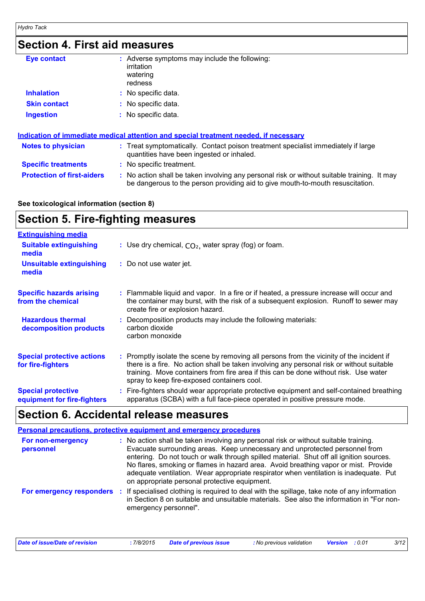### **Section 4. First aid measures**

| Eye contact                                                                          |  | : Adverse symptoms may include the following:<br>irritation<br>watering<br>redness                                                                                            |  |  |  |
|--------------------------------------------------------------------------------------|--|-------------------------------------------------------------------------------------------------------------------------------------------------------------------------------|--|--|--|
| <b>Inhalation</b>                                                                    |  | : No specific data.                                                                                                                                                           |  |  |  |
| <b>Skin contact</b>                                                                  |  | : No specific data.                                                                                                                                                           |  |  |  |
| <b>Ingestion</b>                                                                     |  | : No specific data.                                                                                                                                                           |  |  |  |
| Indication of immediate medical attention and special treatment needed, if necessary |  |                                                                                                                                                                               |  |  |  |
| <b>Notes to physician</b>                                                            |  | : Treat symptomatically. Contact poison treatment specialist immediately if large<br>quantities have been ingested or inhaled.                                                |  |  |  |
| <b>Specific treatments</b>                                                           |  | : No specific treatment.                                                                                                                                                      |  |  |  |
| <b>Protection of first-aiders</b>                                                    |  | : No action shall be taken involving any personal risk or without suitable training. It may<br>be dangerous to the person providing aid to give mouth-to-mouth resuscitation. |  |  |  |

### **See toxicological information (section 8)**

### **Section 5. Fire-fighting measures**

| <b>Extinguishing media</b>                               |                                                                                                                                                                                                                                                                                                                               |
|----------------------------------------------------------|-------------------------------------------------------------------------------------------------------------------------------------------------------------------------------------------------------------------------------------------------------------------------------------------------------------------------------|
| <b>Suitable extinguishing</b><br>media                   | : Use dry chemical, $CO2$ , water spray (fog) or foam.                                                                                                                                                                                                                                                                        |
| <b>Unsuitable extinguishing</b><br>media                 | : Do not use water jet.                                                                                                                                                                                                                                                                                                       |
| <b>Specific hazards arising</b><br>from the chemical     | : Flammable liquid and vapor. In a fire or if heated, a pressure increase will occur and<br>the container may burst, with the risk of a subsequent explosion. Runoff to sewer may<br>create fire or explosion hazard.                                                                                                         |
| <b>Hazardous thermal</b><br>decomposition products       | : Decomposition products may include the following materials:<br>carbon dioxide<br>carbon monoxide                                                                                                                                                                                                                            |
| <b>Special protective actions</b><br>for fire-fighters   | : Promptly isolate the scene by removing all persons from the vicinity of the incident if<br>there is a fire. No action shall be taken involving any personal risk or without suitable<br>training. Move containers from fire area if this can be done without risk. Use water<br>spray to keep fire-exposed containers cool. |
| <b>Special protective</b><br>equipment for fire-fighters | : Fire-fighters should wear appropriate protective equipment and self-contained breathing<br>apparatus (SCBA) with a full face-piece operated in positive pressure mode.                                                                                                                                                      |

### **Section 6. Accidental release measures**

#### **Personal precautions, protective equipment and emergency procedures :** No action shall be taken involving any personal risk or without suitable training. Evacuate surrounding areas. Keep unnecessary and unprotected personnel from entering. Do not touch or walk through spilled material. Shut off all ignition sources. No flares, smoking or flames in hazard area. Avoid breathing vapor or mist. Provide adequate ventilation. Wear appropriate respirator when ventilation is inadequate. Put on appropriate personal protective equipment. **For non-emergency personnel For emergency responders** : If specialised clothing is required to deal with the spillage, take note of any information in Section 8 on suitable and unsuitable materials. See also the information in "For nonemergency personnel".

| Date of issue/Date of revision | 7/8/2015 | <b>Date of previous issue</b> | : No previous validation | <b>Version</b> : 0.01 | 3/12 |
|--------------------------------|----------|-------------------------------|--------------------------|-----------------------|------|
|                                |          |                               |                          |                       |      |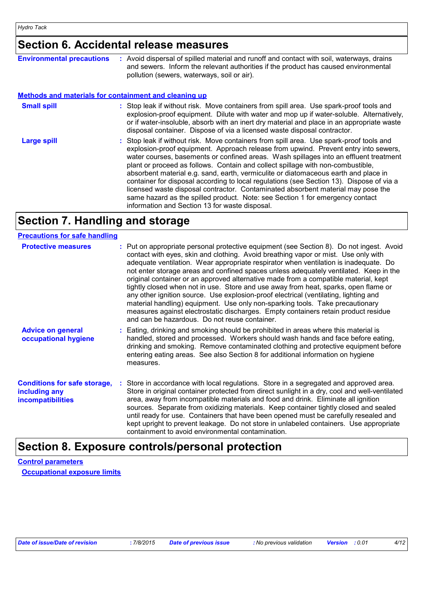## **Section 6. Accidental release measures**

| <b>Environmental precautions</b>                             | : Avoid dispersal of spilled material and runoff and contact with soil, waterways, drains<br>and sewers. Inform the relevant authorities if the product has caused environmental<br>pollution (sewers, waterways, soil or air).                                                                                                                                                                                                                                                                                                                                                                                                                                                                                                                                      |
|--------------------------------------------------------------|----------------------------------------------------------------------------------------------------------------------------------------------------------------------------------------------------------------------------------------------------------------------------------------------------------------------------------------------------------------------------------------------------------------------------------------------------------------------------------------------------------------------------------------------------------------------------------------------------------------------------------------------------------------------------------------------------------------------------------------------------------------------|
| <b>Methods and materials for containment and cleaning up</b> |                                                                                                                                                                                                                                                                                                                                                                                                                                                                                                                                                                                                                                                                                                                                                                      |
| <b>Small spill</b>                                           | : Stop leak if without risk. Move containers from spill area. Use spark-proof tools and<br>explosion-proof equipment. Dilute with water and mop up if water-soluble. Alternatively,<br>or if water-insoluble, absorb with an inert dry material and place in an appropriate waste<br>disposal container. Dispose of via a licensed waste disposal contractor.                                                                                                                                                                                                                                                                                                                                                                                                        |
| <b>Large spill</b>                                           | : Stop leak if without risk. Move containers from spill area. Use spark-proof tools and<br>explosion-proof equipment. Approach release from upwind. Prevent entry into sewers,<br>water courses, basements or confined areas. Wash spillages into an effluent treatment<br>plant or proceed as follows. Contain and collect spillage with non-combustible,<br>absorbent material e.g. sand, earth, vermiculite or diatomaceous earth and place in<br>container for disposal according to local regulations (see Section 13). Dispose of via a<br>licensed waste disposal contractor. Contaminated absorbent material may pose the<br>same hazard as the spilled product. Note: see Section 1 for emergency contact<br>information and Section 13 for waste disposal. |

## **Section 7. Handling and storage**

| <b>Precautions for safe handling</b>                                             |                                                                                                                                                                                                                                                                                                                                                                                                                                                                                                                                                                                                                                                                                                                                                                                                                                                               |
|----------------------------------------------------------------------------------|---------------------------------------------------------------------------------------------------------------------------------------------------------------------------------------------------------------------------------------------------------------------------------------------------------------------------------------------------------------------------------------------------------------------------------------------------------------------------------------------------------------------------------------------------------------------------------------------------------------------------------------------------------------------------------------------------------------------------------------------------------------------------------------------------------------------------------------------------------------|
| <b>Protective measures</b>                                                       | : Put on appropriate personal protective equipment (see Section 8). Do not ingest. Avoid<br>contact with eyes, skin and clothing. Avoid breathing vapor or mist. Use only with<br>adequate ventilation. Wear appropriate respirator when ventilation is inadequate. Do<br>not enter storage areas and confined spaces unless adequately ventilated. Keep in the<br>original container or an approved alternative made from a compatible material, kept<br>tightly closed when not in use. Store and use away from heat, sparks, open flame or<br>any other ignition source. Use explosion-proof electrical (ventilating, lighting and<br>material handling) equipment. Use only non-sparking tools. Take precautionary<br>measures against electrostatic discharges. Empty containers retain product residue<br>and can be hazardous. Do not reuse container. |
| <b>Advice on general</b><br>occupational hygiene                                 | : Eating, drinking and smoking should be prohibited in areas where this material is<br>handled, stored and processed. Workers should wash hands and face before eating,<br>drinking and smoking. Remove contaminated clothing and protective equipment before<br>entering eating areas. See also Section 8 for additional information on hygiene<br>measures.                                                                                                                                                                                                                                                                                                                                                                                                                                                                                                 |
| <b>Conditions for safe storage,</b><br>including any<br><b>incompatibilities</b> | : Store in accordance with local regulations. Store in a segregated and approved area.<br>Store in original container protected from direct sunlight in a dry, cool and well-ventilated<br>area, away from incompatible materials and food and drink. Eliminate all ignition<br>sources. Separate from oxidizing materials. Keep container tightly closed and sealed<br>until ready for use. Containers that have been opened must be carefully resealed and<br>kept upright to prevent leakage. Do not store in unlabeled containers. Use appropriate<br>containment to avoid environmental contamination.                                                                                                                                                                                                                                                   |

### **Section 8. Exposure controls/personal protection**

**Control parameters Occupational exposure limits**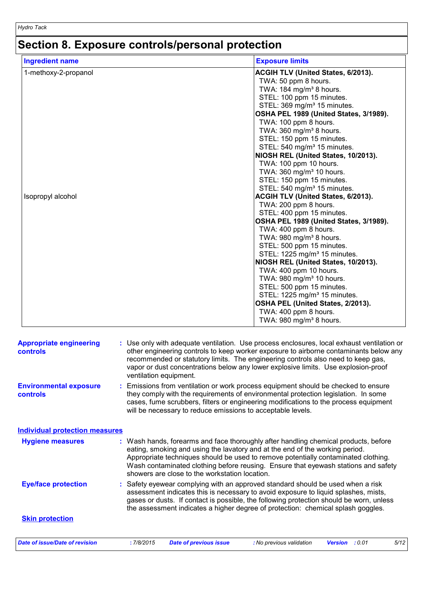## **Section 8. Exposure controls/personal protection**

| <b>Ingredient name</b> | <b>Exposure limits</b>                                                |
|------------------------|-----------------------------------------------------------------------|
| 1-methoxy-2-propanol   | ACGIH TLV (United States, 6/2013).                                    |
|                        | TWA: 50 ppm 8 hours.                                                  |
|                        | TWA: 184 mg/m <sup>3</sup> 8 hours.                                   |
|                        | STEL: 100 ppm 15 minutes.                                             |
|                        | STEL: 369 mg/m <sup>3</sup> 15 minutes.                               |
|                        | OSHA PEL 1989 (United States, 3/1989).                                |
|                        | TWA: 100 ppm 8 hours.                                                 |
|                        | TWA: 360 mg/m <sup>3</sup> 8 hours.                                   |
|                        | STEL: 150 ppm 15 minutes.                                             |
|                        | STEL: 540 mg/m <sup>3</sup> 15 minutes.                               |
|                        | NIOSH REL (United States, 10/2013).                                   |
|                        | TWA: 100 ppm 10 hours.                                                |
|                        | TWA: 360 mg/m <sup>3</sup> 10 hours.                                  |
|                        | STEL: 150 ppm 15 minutes.                                             |
|                        | STEL: 540 mg/m <sup>3</sup> 15 minutes.                               |
| Isopropyl alcohol      | ACGIH TLV (United States, 6/2013).                                    |
|                        | TWA: 200 ppm 8 hours.                                                 |
|                        | STEL: 400 ppm 15 minutes.                                             |
|                        | OSHA PEL 1989 (United States, 3/1989).                                |
|                        | TWA: 400 ppm 8 hours.                                                 |
|                        | TWA: 980 mg/m <sup>3</sup> 8 hours.                                   |
|                        | STEL: 500 ppm 15 minutes.                                             |
|                        | STEL: 1225 mg/m <sup>3</sup> 15 minutes.                              |
|                        | NIOSH REL (United States, 10/2013).                                   |
|                        | TWA: 400 ppm 10 hours.                                                |
|                        | TWA: 980 mg/m <sup>3</sup> 10 hours.                                  |
|                        | STEL: 500 ppm 15 minutes.<br>STEL: 1225 mg/m <sup>3</sup> 15 minutes. |
|                        | OSHA PEL (United States, 2/2013).                                     |
|                        | TWA: 400 ppm 8 hours.                                                 |
|                        | TWA: 980 mg/m <sup>3</sup> 8 hours.                                   |
|                        |                                                                       |

| <b>Appropriate engineering</b><br><b>controls</b> | : Use only with adequate ventilation. Use process enclosures, local exhaust ventilation or<br>other engineering controls to keep worker exposure to airborne contaminants below any<br>recommended or statutory limits. The engineering controls also need to keep gas,<br>vapor or dust concentrations below any lower explosive limits. Use explosion-proof<br>ventilation equipment.           |  |  |  |  |  |
|---------------------------------------------------|---------------------------------------------------------------------------------------------------------------------------------------------------------------------------------------------------------------------------------------------------------------------------------------------------------------------------------------------------------------------------------------------------|--|--|--|--|--|
| <b>Environmental exposure</b><br>controls         | Emissions from ventilation or work process equipment should be checked to ensure<br>they comply with the requirements of environmental protection legislation. In some<br>cases, fume scrubbers, filters or engineering modifications to the process equipment<br>will be necessary to reduce emissions to acceptable levels.                                                                     |  |  |  |  |  |
| <b>Individual protection measures</b>             |                                                                                                                                                                                                                                                                                                                                                                                                   |  |  |  |  |  |
| <b>Hygiene measures</b>                           | : Wash hands, forearms and face thoroughly after handling chemical products, before<br>eating, smoking and using the lavatory and at the end of the working period.<br>Appropriate techniques should be used to remove potentially contaminated clothing.<br>Wash contaminated clothing before reusing. Ensure that eyewash stations and safety<br>showers are close to the workstation location. |  |  |  |  |  |
| <b>Eye/face protection</b>                        | Safety eyewear complying with an approved standard should be used when a risk<br>assessment indicates this is necessary to avoid exposure to liquid splashes, mists,<br>gases or dusts. If contact is possible, the following protection should be worn, unless<br>the assessment indicates a higher degree of protection: chemical splash goggles.                                               |  |  |  |  |  |
| <b>Skin protection</b>                            |                                                                                                                                                                                                                                                                                                                                                                                                   |  |  |  |  |  |
| <b>Date of issue/Date of revision</b>             | :7/8/2015<br><b>Date of previous issue</b><br>: No previous validation<br>: 0.01<br>5/12<br><b>Version</b>                                                                                                                                                                                                                                                                                        |  |  |  |  |  |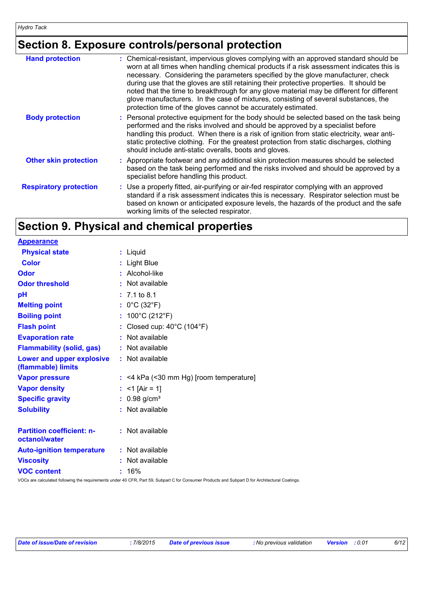## **Section 8. Exposure controls/personal protection**

| <b>Hand protection</b>        | : Chemical-resistant, impervious gloves complying with an approved standard should be<br>worn at all times when handling chemical products if a risk assessment indicates this is<br>necessary. Considering the parameters specified by the glove manufacturer, check<br>during use that the gloves are still retaining their protective properties. It should be<br>noted that the time to breakthrough for any glove material may be different for different<br>glove manufacturers. In the case of mixtures, consisting of several substances, the<br>protection time of the gloves cannot be accurately estimated. |
|-------------------------------|------------------------------------------------------------------------------------------------------------------------------------------------------------------------------------------------------------------------------------------------------------------------------------------------------------------------------------------------------------------------------------------------------------------------------------------------------------------------------------------------------------------------------------------------------------------------------------------------------------------------|
| <b>Body protection</b>        | : Personal protective equipment for the body should be selected based on the task being<br>performed and the risks involved and should be approved by a specialist before<br>handling this product. When there is a risk of ignition from static electricity, wear anti-<br>static protective clothing. For the greatest protection from static discharges, clothing<br>should include anti-static overalls, boots and gloves.                                                                                                                                                                                         |
| <b>Other skin protection</b>  | : Appropriate footwear and any additional skin protection measures should be selected<br>based on the task being performed and the risks involved and should be approved by a<br>specialist before handling this product.                                                                                                                                                                                                                                                                                                                                                                                              |
| <b>Respiratory protection</b> | : Use a properly fitted, air-purifying or air-fed respirator complying with an approved<br>standard if a risk assessment indicates this is necessary. Respirator selection must be<br>based on known or anticipated exposure levels, the hazards of the product and the safe<br>working limits of the selected respirator.                                                                                                                                                                                                                                                                                             |

## **Section 9. Physical and chemical properties**

| <b>Appearance</b>                                 |                                           |
|---------------------------------------------------|-------------------------------------------|
| <b>Physical state</b>                             | : Liquid                                  |
| <b>Color</b>                                      | : Light Blue                              |
| <b>Odor</b>                                       | Alcohol-like                              |
| <b>Odor threshold</b>                             | Not available                             |
| pH                                                | $: 7.1 \text{ to } 8.1$                   |
| <b>Melting point</b>                              | : $0^{\circ}$ C (32 $^{\circ}$ F)         |
| <b>Boiling point</b>                              | : $100^{\circ}$ C (212 $^{\circ}$ F)      |
| <b>Flash point</b>                                | Closed cup: 40°C (104°F)                  |
| <b>Evaporation rate</b>                           | Not available                             |
| <b>Flammability (solid, gas)</b>                  | : Not available                           |
| Lower and upper explosive<br>(flammable) limits   | : Not available                           |
| <b>Vapor pressure</b>                             | $:$ <4 kPa (<30 mm Hg) [room temperature] |
| <b>Vapor density</b>                              | : <1 [Air = 1]                            |
| <b>Specific gravity</b>                           | $: 0.98$ g/cm <sup>3</sup>                |
| <b>Solubility</b>                                 | : Not available                           |
| <b>Partition coefficient: n-</b><br>octanol/water | : Not available                           |
| <b>Auto-ignition temperature</b>                  | Not available                             |
| <b>Viscosity</b>                                  | Not available                             |
| <b>VOC content</b>                                | $: 16\%$                                  |

VOCs are calculated following the requirements under 40 CFR, Part 59, Subpart C for Consumer Products and Subpart D for Architectural Coatings.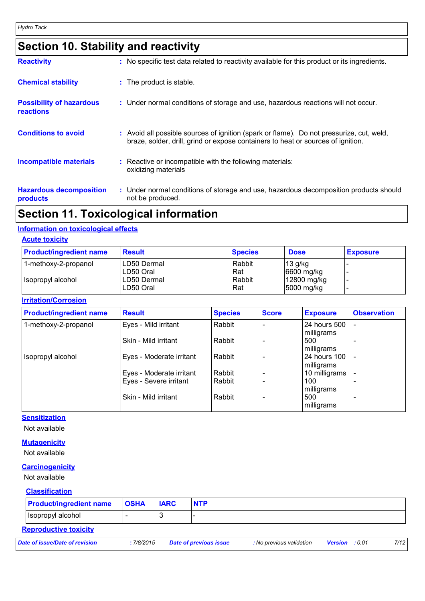## **Section 10. Stability and reactivity**

| <b>Reactivity</b>                                   | : No specific test data related to reactivity available for this product or its ingredients.                                                                                 |
|-----------------------------------------------------|------------------------------------------------------------------------------------------------------------------------------------------------------------------------------|
| <b>Chemical stability</b>                           | : The product is stable.                                                                                                                                                     |
| <b>Possibility of hazardous</b><br><b>reactions</b> | : Under normal conditions of storage and use, hazardous reactions will not occur.                                                                                            |
| <b>Conditions to avoid</b>                          | : Avoid all possible sources of ignition (spark or flame). Do not pressurize, cut, weld,<br>braze, solder, drill, grind or expose containers to heat or sources of ignition. |
| <b>Incompatible materials</b>                       | : Reactive or incompatible with the following materials:<br>oxidizing materials                                                                                              |
| <b>Hazardous decomposition</b><br>products          | : Under normal conditions of storage and use, hazardous decomposition products should<br>not be produced.                                                                    |

### **Section 11. Toxicological information**

#### **Information on toxicological effects**

| <b>Acute toxicity</b> |
|-----------------------|
|-----------------------|

| <b>Product/ingredient name</b> | <b>Result</b>             | <b>Species</b> | <b>Dose</b>               | <b>Exposure</b> |
|--------------------------------|---------------------------|----------------|---------------------------|-----------------|
| 1-methoxy-2-propanol           | LD50 Dermal<br>ILD50 Oral | Rabbit<br>Rat  | 13 g/kg<br>6600 mg/kg     |                 |
| Isopropyl alcohol              | LD50 Dermal<br>LD50 Oral  | Rabbit<br>Rat  | 12800 mg/kg<br>5000 mg/kg | -               |

#### **Irritation/Corrosion**

| <b>Product/ingredient name</b> | <b>Result</b>            | <b>Species</b> | <b>Score</b> | <b>Exposure</b> | <b>Observation</b>       |
|--------------------------------|--------------------------|----------------|--------------|-----------------|--------------------------|
| 1-methoxy-2-propanol           | Eyes - Mild irritant     | Rabbit         |              | 24 hours 500    |                          |
|                                |                          |                |              | milligrams      |                          |
|                                | Skin - Mild irritant     | Rabbit         |              | 500             |                          |
|                                |                          |                |              | milligrams      |                          |
| Isopropyl alcohol              | Eyes - Moderate irritant | Rabbit         |              | 24 hours 100    |                          |
|                                |                          |                |              | milligrams      |                          |
|                                | Eyes - Moderate irritant | Rabbit         |              | 10 milligrams   |                          |
|                                | Eyes - Severe irritant   | Rabbit         |              | 100             |                          |
|                                |                          |                |              | milligrams      |                          |
|                                | Skin - Mild irritant     | Rabbit         |              | 500             | $\overline{\phantom{0}}$ |
|                                |                          |                |              | milligrams      |                          |

### **Sensitization**

Not available

#### **Mutagenicity**

Not available

#### **Carcinogenicity**

Not available

#### **Classification**

| <b>Product/ingredient name</b> | <b>OSHA</b> | <b>IARC</b> | <b>NTP</b>             |                          |                       |      |
|--------------------------------|-------------|-------------|------------------------|--------------------------|-----------------------|------|
| I Isopropyl alcohol            |             |             |                        |                          |                       |      |
| <b>Reproductive toxicity</b>   |             |             |                        |                          |                       |      |
| Date of issue/Date of revision | :7/8/2015   |             | Date of previous issue | : No previous validation | <b>Version</b> : 0.01 | 7/12 |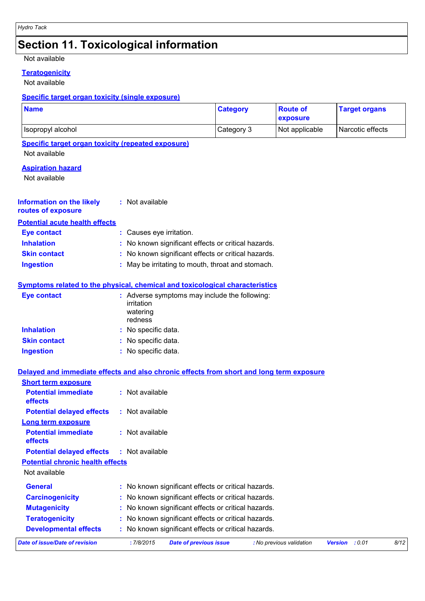## **Section 11. Toxicological information**

#### Not available

### **Teratogenicity**

Not available

#### **Specific target organ toxicity (single exposure)**

| <b>Name</b>                                                                              |    |                                                                                  | <b>Category</b>               | <b>Route of</b><br>exposure |                | <b>Target organs</b> |      |
|------------------------------------------------------------------------------------------|----|----------------------------------------------------------------------------------|-------------------------------|-----------------------------|----------------|----------------------|------|
| Isopropyl alcohol                                                                        |    |                                                                                  | Category 3                    | Not applicable              |                | Narcotic effects     |      |
| <b>Specific target organ toxicity (repeated exposure)</b>                                |    |                                                                                  |                               |                             |                |                      |      |
| Not available                                                                            |    |                                                                                  |                               |                             |                |                      |      |
| <b>Aspiration hazard</b>                                                                 |    |                                                                                  |                               |                             |                |                      |      |
| Not available                                                                            |    |                                                                                  |                               |                             |                |                      |      |
| <b>Information on the likely</b><br>routes of exposure                                   |    | : Not available                                                                  |                               |                             |                |                      |      |
| <b>Potential acute health effects</b>                                                    |    |                                                                                  |                               |                             |                |                      |      |
| <b>Eye contact</b>                                                                       |    | : Causes eye irritation.                                                         |                               |                             |                |                      |      |
| <b>Inhalation</b>                                                                        |    | No known significant effects or critical hazards.                                |                               |                             |                |                      |      |
| <b>Skin contact</b>                                                                      |    | No known significant effects or critical hazards.                                |                               |                             |                |                      |      |
| <b>Ingestion</b>                                                                         |    | May be irritating to mouth, throat and stomach.                                  |                               |                             |                |                      |      |
| <b>Symptoms related to the physical, chemical and toxicological characteristics</b>      |    |                                                                                  |                               |                             |                |                      |      |
| <b>Eye contact</b>                                                                       |    | Adverse symptoms may include the following:<br>irritation<br>watering<br>redness |                               |                             |                |                      |      |
| <b>Inhalation</b>                                                                        |    | No specific data.                                                                |                               |                             |                |                      |      |
| <b>Skin contact</b>                                                                      |    | No specific data.                                                                |                               |                             |                |                      |      |
| <b>Ingestion</b>                                                                         |    | No specific data.                                                                |                               |                             |                |                      |      |
| Delayed and immediate effects and also chronic effects from short and long term exposure |    |                                                                                  |                               |                             |                |                      |      |
| <b>Short term exposure</b>                                                               |    |                                                                                  |                               |                             |                |                      |      |
| <b>Potential immediate</b><br>effects                                                    |    | : Not available                                                                  |                               |                             |                |                      |      |
| <b>Potential delayed effects</b>                                                         |    | : Not available                                                                  |                               |                             |                |                      |      |
| Long term exposure                                                                       |    |                                                                                  |                               |                             |                |                      |      |
| <b>Potential immediate</b><br>effects                                                    |    | Not available                                                                    |                               |                             |                |                      |      |
| <b>Potential delayed effects</b>                                                         |    | : Not available                                                                  |                               |                             |                |                      |      |
| <b>Potential chronic health effects</b>                                                  |    |                                                                                  |                               |                             |                |                      |      |
| Not available                                                                            |    |                                                                                  |                               |                             |                |                      |      |
| <b>General</b>                                                                           | t. | No known significant effects or critical hazards.                                |                               |                             |                |                      |      |
| <b>Carcinogenicity</b>                                                                   |    | No known significant effects or critical hazards.                                |                               |                             |                |                      |      |
| <b>Mutagenicity</b>                                                                      |    | No known significant effects or critical hazards.                                |                               |                             |                |                      |      |
| <b>Teratogenicity</b>                                                                    |    | No known significant effects or critical hazards.                                |                               |                             |                |                      |      |
| <b>Developmental effects</b>                                                             |    | No known significant effects or critical hazards.                                |                               |                             |                |                      |      |
| <b>Date of issue/Date of revision</b>                                                    |    | : 7/8/2015                                                                       | <b>Date of previous issue</b> | : No previous validation    | Version : 0.01 |                      | 8/12 |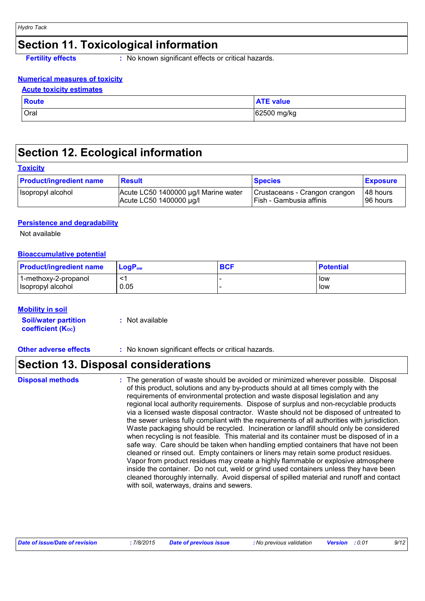### **Section 11. Toxicological information**

**Fertility effects :** No known significant effects or critical hazards.

#### **Numerical measures of toxicity**

#### **Acute toxicity estimates**

| <b>Route</b> | <b>ATE value</b> |
|--------------|------------------|
| <b>Oral</b>  | 62500 mg/kg      |

### **Section 12. Ecological information**

#### **Toxicity**

| <b>Product/ingredient name</b> | <b>Result</b>                        | <b>Species</b>                | <b>Exposure</b> |
|--------------------------------|--------------------------------------|-------------------------------|-----------------|
| Isopropyl alcohol              | Acute LC50 1400000 µg/l Marine water | Crustaceans - Crangon crangon | 148 hours       |
|                                | Acute LC50 1400000 µg/l              | I Fish - Gambusia affinis     | 196 hours       |

#### **Persistence and degradability**

Not available

#### **Bioaccumulative potential**

| <b>Product/ingredient name</b> | $LoaPow$ | <b>BCF</b> | <b>Potential</b> |
|--------------------------------|----------|------------|------------------|
| 1-methoxy-2-propanol           |          |            | low              |
| Isopropyl alcohol              | 0.05     |            | low              |

#### **Mobility in soil**

| <b>Soil/water partition</b> | : Not available |
|-----------------------------|-----------------|
| <b>coefficient (Koc)</b>    |                 |

**Other adverse effects** : No known significant effects or critical hazards.

### **Section 13. Disposal considerations**

#### **Disposal methods :**

The generation of waste should be avoided or minimized wherever possible. Disposal of this product, solutions and any by-products should at all times comply with the requirements of environmental protection and waste disposal legislation and any regional local authority requirements. Dispose of surplus and non-recyclable products via a licensed waste disposal contractor. Waste should not be disposed of untreated to the sewer unless fully compliant with the requirements of all authorities with jurisdiction. Waste packaging should be recycled. Incineration or landfill should only be considered when recycling is not feasible. This material and its container must be disposed of in a safe way. Care should be taken when handling emptied containers that have not been cleaned or rinsed out. Empty containers or liners may retain some product residues. Vapor from product residues may create a highly flammable or explosive atmosphere inside the container. Do not cut, weld or grind used containers unless they have been cleaned thoroughly internally. Avoid dispersal of spilled material and runoff and contact with soil, waterways, drains and sewers.

| Date of issue/Date of revision<br>7/8/2015 | <b>Date of previous issue</b> | : No previous validation | <b>Version</b> : 0.01 | 9/12 |
|--------------------------------------------|-------------------------------|--------------------------|-----------------------|------|
|--------------------------------------------|-------------------------------|--------------------------|-----------------------|------|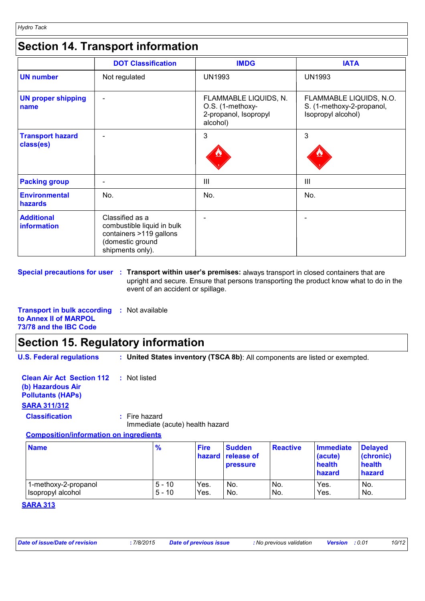### **Section 14. Transport information**

|                                      | <b>DOT Classification</b>                                                                                        | <b>IMDG</b>                                                                    | <b>IATA</b>                                                                |
|--------------------------------------|------------------------------------------------------------------------------------------------------------------|--------------------------------------------------------------------------------|----------------------------------------------------------------------------|
| <b>UN number</b>                     | Not regulated                                                                                                    | <b>UN1993</b>                                                                  | <b>UN1993</b>                                                              |
| <b>UN proper shipping</b><br>name    |                                                                                                                  | FLAMMABLE LIQUIDS, N.<br>O.S. (1-methoxy-<br>2-propanol, Isopropyl<br>alcohol) | FLAMMABLE LIQUIDS, N.O.<br>S. (1-methoxy-2-propanol,<br>Isopropyl alcohol) |
| <b>Transport hazard</b><br>class(es) |                                                                                                                  | 3                                                                              | 3                                                                          |
| <b>Packing group</b>                 |                                                                                                                  | Ш                                                                              | $\mathbf{III}$                                                             |
| <b>Environmental</b><br>hazards      | No.                                                                                                              | No.                                                                            | No.                                                                        |
| <b>Additional</b><br>information     | Classified as a<br>combustible liquid in bulk<br>containers >119 gallons<br>(domestic ground<br>shipments only). |                                                                                |                                                                            |

**Special precautions for user** : Transport within user's premises: always transport in closed containers that are upright and secure. Ensure that persons transporting the product know what to do in the event of an accident or spillage.

**Transport in bulk according :** Not available **to Annex II of MARPOL 73/78 and the IBC Code**

### **Section 15. Regulatory information**

**U.S. Federal regulations : United States inventory (TSCA 8b)**: All components are listed or exempted.

**Clean Air Act Section 112 (b) Hazardous Air Pollutants (HAPs) :** Not listed **SARA 311/312 Classification :** Fire hazard

Immediate (acute) health hazard

#### **Composition/information on ingredients**

| <b>Name</b>          | $\frac{9}{6}$ | <b>Fire</b> | <b>Sudden</b><br>hazard release of<br><b>pressure</b> | <b>Reactive</b> | <b>Immediate</b><br>(acute)<br>health<br>hazard | <b>Delayed</b><br>(chronic)<br>health<br>hazard |
|----------------------|---------------|-------------|-------------------------------------------------------|-----------------|-------------------------------------------------|-------------------------------------------------|
| 1-methoxy-2-propanol | $5 - 10$      | Yes.        | No.                                                   | No.             | Yes.                                            | No.                                             |
| Isopropyl alcohol    | $5 - 10$      | Yes.        | No.                                                   | No.             | Yes.                                            | No.                                             |

#### **SARA 313**

| Date of issue/Date of revision | 7/8/2015 | <b>Date of previous issue</b> | : No previous validation | <b>Version</b> : 0.01 |  | 10/12 |
|--------------------------------|----------|-------------------------------|--------------------------|-----------------------|--|-------|
|--------------------------------|----------|-------------------------------|--------------------------|-----------------------|--|-------|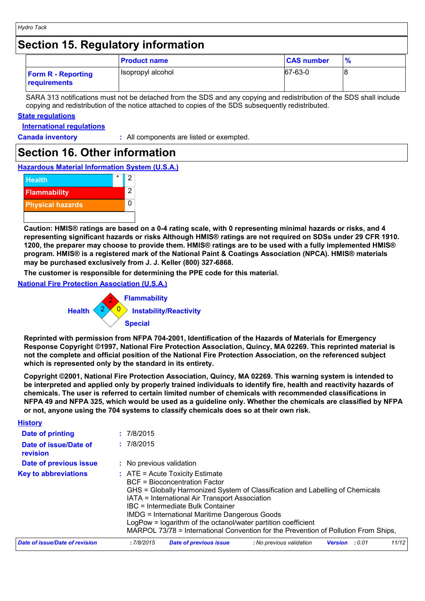### **Section 15. Regulatory information**

|                                                  | <b>Product name</b> | <b>CAS number</b> | $\frac{9}{6}$ |
|--------------------------------------------------|---------------------|-------------------|---------------|
| <b>Form R - Reporting</b><br><b>requirements</b> | Isopropyl alcohol   | 67-63-0           |               |

SARA 313 notifications must not be detached from the SDS and any copying and redistribution of the SDS shall include copying and redistribution of the notice attached to copies of the SDS subsequently redistributed.

#### **State regulations**

**International regulations**

**History**

**Canada inventory :** All components are listed or exempted.

### **Section 16. Other information**

**Hazardous Material Information System (U.S.A.)**



**Caution: HMIS® ratings are based on a 0-4 rating scale, with 0 representing minimal hazards or risks, and 4 representing significant hazards or risks Although HMIS® ratings are not required on SDSs under 29 CFR 1910. 1200, the preparer may choose to provide them. HMIS® ratings are to be used with a fully implemented HMIS® program. HMIS® is a registered mark of the National Paint & Coatings Association (NPCA). HMIS® materials may be purchased exclusively from J. J. Keller (800) 327-6868.**

**The customer is responsible for determining the PPE code for this material.**

**National Fire Protection Association (U.S.A.)**



**Reprinted with permission from NFPA 704-2001, Identification of the Hazards of Materials for Emergency Response Copyright ©1997, National Fire Protection Association, Quincy, MA 02269. This reprinted material is not the complete and official position of the National Fire Protection Association, on the referenced subject which is represented only by the standard in its entirety.**

**Copyright ©2001, National Fire Protection Association, Quincy, MA 02269. This warning system is intended to be interpreted and applied only by properly trained individuals to identify fire, health and reactivity hazards of chemicals. The user is referred to certain limited number of chemicals with recommended classifications in NFPA 49 and NFPA 325, which would be used as a guideline only. Whether the chemicals are classified by NFPA or not, anyone using the 704 systems to classify chemicals does so at their own risk.**

| <u>FIISLUI V</u>                  |                                                                                                                                                                                                                                                                                                                                                                                                                                                            |  |  |  |
|-----------------------------------|------------------------------------------------------------------------------------------------------------------------------------------------------------------------------------------------------------------------------------------------------------------------------------------------------------------------------------------------------------------------------------------------------------------------------------------------------------|--|--|--|
| Date of printing                  | : 7/8/2015                                                                                                                                                                                                                                                                                                                                                                                                                                                 |  |  |  |
| Date of issue/Date of<br>revision | : 7/8/2015                                                                                                                                                                                                                                                                                                                                                                                                                                                 |  |  |  |
| Date of previous issue            | : No previous validation                                                                                                                                                                                                                                                                                                                                                                                                                                   |  |  |  |
| <b>Key to abbreviations</b>       | $:$ ATE = Acute Toxicity Estimate<br>BCF = Bioconcentration Factor<br>GHS = Globally Harmonized System of Classification and Labelling of Chemicals<br>IATA = International Air Transport Association<br>IBC = Intermediate Bulk Container<br><b>IMDG = International Maritime Dangerous Goods</b><br>LogPow = logarithm of the octanol/water partition coefficient<br>MARPOL 73/78 = International Convention for the Prevention of Pollution From Ships, |  |  |  |
| Date of issue/Date of revision    | 11/12<br>:7/8/2015<br><b>Date of previous issue</b><br>: No previous validation<br><b>Version</b><br>:0.01                                                                                                                                                                                                                                                                                                                                                 |  |  |  |